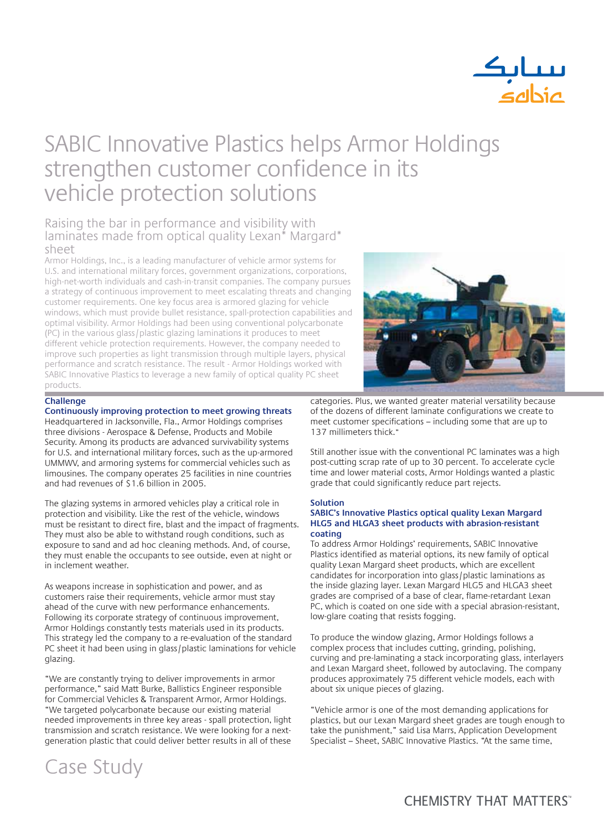

### SABIC Innovative Plastics helps Armor Holdings strengthen customer confidence in its vehicle protection solutions

### Raising the bar in performance and visibility with laminates made from optical quality Lexan<sup>\*</sup> Margard<sup>\*</sup> sheet

Armor Holdings, Inc., is a leading manufacturer of vehicle armor systems for U.S. and international military forces, government organizations, corporations, high-net-worth individuals and cash-in-transit companies. The company pursues a strategy of continuous improvement to meet escalating threats and changing customer requirements. One key focus area is armored glazing for vehicle windows, which must provide bullet resistance, spall-protection capabilities and optimal visibility. Armor Holdings had been using conventional polycarbonate (PC) in the various glass/plastic glazing laminations it produces to meet different vehicle protection requirements. However, the company needed to improve such properties as light transmission through multiple layers, physical performance and scratch resistance. The result - Armor Holdings worked with SABIC Innovative Plastics to leverage a new family of optical quality PC sheet products.



#### **Challenge**

**Continuously improving protection to meet growing threats** Headquartered in Jacksonville, Fla., Armor Holdings comprises three divisions - Aerospace & Defense, Products and Mobile Security. Among its products are advanced survivability systems for U.S. and international military forces, such as the up-armored UMMWV, and armoring systems for commercial vehicles such as limousines. The company operates 25 facilities in nine countries and had revenues of \$1.6 billion in 2005.

The glazing systems in armored vehicles play a critical role in protection and visibility. Like the rest of the vehicle, windows must be resistant to direct fire, blast and the impact of fragments. They must also be able to withstand rough conditions, such as exposure to sand and ad hoc cleaning methods. And, of course, they must enable the occupants to see outside, even at night or in inclement weather.

As weapons increase in sophistication and power, and as customers raise their requirements, vehicle armor must stay ahead of the curve with new performance enhancements. Following its corporate strategy of continuous improvement, Armor Holdings constantly tests materials used in its products. This strategy led the company to a re-evaluation of the standard PC sheet it had been using in glass/plastic laminations for vehicle glazing.

"We are constantly trying to deliver improvements in armor performance," said Matt Burke, Ballistics Engineer responsible for Commercial Vehicles & Transparent Armor, Armor Holdings. "We targeted polycarbonate because our existing material needed improvements in three key areas - spall protection, light transmission and scratch resistance. We were looking for a nextgeneration plastic that could deliver better results in all of these

categories. Plus, we wanted greater material versatility because of the dozens of different laminate configurations we create to meet customer specifications - including some that are up to 137 millimeters thick."

Still another issue with the conventional PC laminates was a high post-cutting scrap rate of up to 30 percent. To accelerate cycle time and lower material costs, Armor Holdings wanted a plastic grade that could significantly reduce part rejects.

#### **Solution**

#### **SABIC's Innovative Plastics optical quality Lexan Margard HLG5 and HLGA3 sheet products with abrasion-resistant coating**

To address Armor Holdings' requirements, SABIC Innovative Plastics identified as material options, its new family of optical quality Lexan Margard sheet products, which are excellent candidates for incorporation into glass/plastic laminations as the inside glazing layer. Lexan Margard HLG5 and HLGA3 sheet grades are comprised of a base of clear, flame-retardant Lexan PC, which is coated on one side with a special abrasion-resistant, low-glare coating that resists fogging.

To produce the window glazing, Armor Holdings follows a complex process that includes cutting, grinding, polishing, curving and pre-laminating a stack incorporating glass, interlayers and Lexan Margard sheet, followed by autoclaving. The company produces approximately 75 different vehicle models, each with about six unique pieces of glazing.

"Vehicle armor is one of the most demanding applications for plastics, but our Lexan Margard sheet grades are tough enough to take the punishment," said Lisa Marrs, Application Development Specialist – Sheet, SABIC Innovative Plastics. "At the same time,